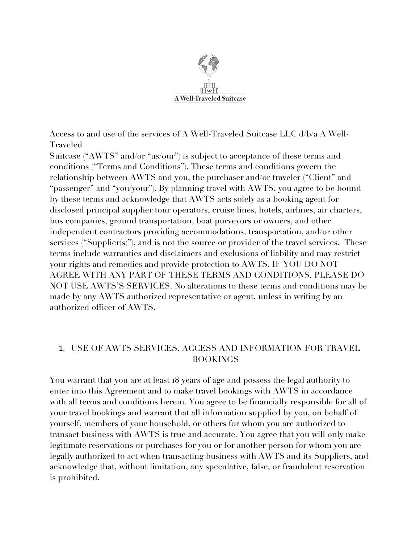

Access to and use of the services of A Well-Traveled Suitcase LLC d/b/a A Well-Traveled

Suitcase ("AWTS" and/or "us/our") is subject to acceptance of these terms and conditions ("Terms and Conditions"). These terms and conditions govern the relationship between AWTS and you, the purchaser and/or traveler ("Client" and "passenger" and "you/your"). By planning travel with AWTS, you agree to be bound by these terms and acknowledge that AWTS acts solely as a booking agent for disclosed principal supplier tour operators, cruise lines, hotels, airlines, air charters, bus companies, ground transportation, boat purveyors or owners, and other independent contractors providing accommodations, transportation, and/or other services ("Supplier(s)"), and is not the source or provider of the travel services. These terms include warranties and disclaimers and exclusions of liability and may restrict your rights and remedies and provide protection to AWTS. IF YOU DO NOT AGREE WITH ANY PART OF THESE TERMS AND CONDITIONS, PLEASE DO NOT USE AWTS'S SERVICES. No alterations to these terms and conditions may be made by any AWTS authorized representative or agent, unless in writing by an authorized officer of AWTS.

## 1. USE OF AWTS SERVICES, ACCESS AND INFORMATION FOR TRAVEL BOOKINGS

You warrant that you are at least 18 years of age and possess the legal authority to enter into this Agreement and to make travel bookings with AWTS in accordance with all terms and conditions herein. You agree to be financially responsible for all of your travel bookings and warrant that all information supplied by you, on behalf of yourself, members of your household, or others for whom you are authorized to transact business with AWTS is true and accurate. You agree that you will only make legitimate reservations or purchases for you or for another person for whom you are legally authorized to act when transacting business with AWTS and its Suppliers, and acknowledge that, without limitation, any speculative, false, or fraudulent reservation is prohibited.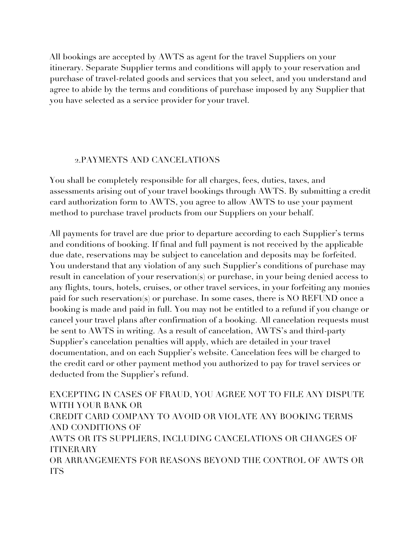All bookings are accepted by AWTS as agent for the travel Suppliers on your itinerary. Separate Supplier terms and conditions will apply to your reservation and purchase of travel-related goods and services that you select, and you understand and agree to abide by the terms and conditions of purchase imposed by any Supplier that you have selected as a service provider for your travel.

#### 2.PAYMENTS AND CANCELATIONS

You shall be completely responsible for all charges, fees, duties, taxes, and assessments arising out of your travel bookings through AWTS. By submitting a credit card authorization form to AWTS, you agree to allow AWTS to use your payment method to purchase travel products from our Suppliers on your behalf.

All payments for travel are due prior to departure according to each Supplier's terms and conditions of booking. If final and full payment is not received by the applicable due date, reservations may be subject to cancelation and deposits may be forfeited. You understand that any violation of any such Supplier's conditions of purchase may result in cancelation of your reservation(s) or purchase, in your being denied access to any flights, tours, hotels, cruises, or other travel services, in your forfeiting any monies paid for such reservation(s) or purchase. In some cases, there is NO REFUND once a booking is made and paid in full. You may not be entitled to a refund if you change or cancel your travel plans after confirmation of a booking. All cancelation requests must be sent to AWTS in writing. As a result of cancelation, AWTS's and third-party Supplier's cancelation penalties will apply, which are detailed in your travel documentation, and on each Supplier's website. Cancelation fees will be charged to the credit card or other payment method you authorized to pay for travel services or deducted from the Supplier's refund.

EXCEPTING IN CASES OF FRAUD, YOU AGREE NOT TO FILE ANY DISPUTE WITH YOUR BANK OR CREDIT CARD COMPANY TO AVOID OR VIOLATE ANY BOOKING TERMS AND CONDITIONS OF AWTS OR ITS SUPPLIERS, INCLUDING CANCELATIONS OR CHANGES OF ITINERARY OR ARRANGEMENTS FOR REASONS BEYOND THE CONTROL OF AWTS OR ITS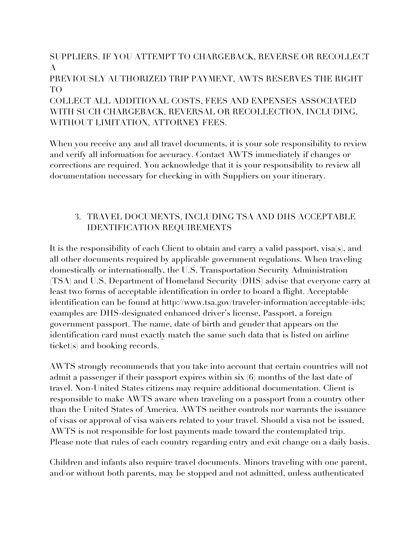SUPPLIERS. IF YOU ATTEMPT TO CHARGEBACK, REVERSE OR RECOLLECT A

PREVIOUSLY AUTHORIZED TRIP PAYMENT, AWTS RESERVES THE RIGHT TO

COLLECT ALL ADDITIONAL COSTS, FEES AND EXPENSES ASSOCIATED WITH SUCH CHARGEBACK, REVERSAL OR RECOLLECTION, INCLUDING, WITHOUT LIMITATION, ATTORNEY FEES.

When you receive any and all travel documents, it is your sole responsibility to review and verify all information for accuracy. Contact AWTS immediately if changes or corrections are required. You acknowledge that it is your responsibility to review all documentation necessary for checking in with Suppliers on your itinerary.

## 3. TRAVEL DOCUMENTS, INCLUDING TSA AND DHS ACCEPTABLE IDENTIFICATION REQUIREMENTS

It is the responsibility of each Client to obtain and carry a valid passport, visa(s), and all other documents required by applicable government regulations. When traveling domestically or internationally, the U.S. Transportation Security Administration (TSA) and U.S. Department of Homeland Security (DHS) advise that everyone carry at least two forms of acceptable identification in order to board a flight. Acceptable identification can be found at http://www.tsa.gov/traveler-information/acceptable-ids; examples are DHS-designated enhanced driver's license, Passport, a foreign government passport. The name, date of birth and gender that appears on the identification card must exactly match the same such data that is listed on airline ticket(s) and booking records.

AWTS strongly recommends that you take into account that certain countries will not admit a passenger if their passport expires within six (6) months of the last date of travel. Non-United States citizens may require additional documentation. Client is responsible to make AWTS aware when traveling on a passport from a country other than the United States of America. AWTS neither controls nor warrants the issuance of visas or approval of visa waivers related to your travel. Should a visa not be issued, AWTS is not responsible for lost payments made toward the contemplated trip. Please note that rules of each country regarding entry and exit change on a daily basis.

Children and infants also require travel documents. Minors traveling with one parent, and/or without both parents, may be stopped and not admitted, unless authenticated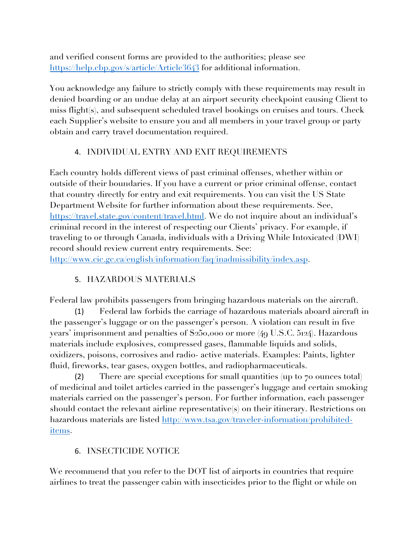and verified consent forms are provided to the authorities; please see https://help.cbp.gov/s/article/Article3643 for additional information.

You acknowledge any failure to strictly comply with these requirements may result in denied boarding or an undue delay at an airport security checkpoint causing Client to miss flight(s), and subsequent scheduled travel bookings on cruises and tours. Check each Supplier's website to ensure you and all members in your travel group or party obtain and carry travel documentation required.

# 4. INDIVIDUAL ENTRY AND EXIT REQUIREMENTS

Each country holds different views of past criminal offenses, whether within or outside of their boundaries. If you have a current or prior criminal offense, contact that country directly for entry and exit requirements. You can visit the US State Department Website for further information about these requirements. See, https://travel.state.gov/content/travel.html. We do not inquire about an individual's criminal record in the interest of respecting our Clients' privacy. For example, if traveling to or through Canada, individuals with a Driving While Intoxicated (DWI) record should review current entry requirements. See:

http://www.cic.gc.ca/english/information/faq/inadmissibility/index.asp.

# 5. HAZARDOUS MATERIALS

Federal law prohibits passengers from bringing hazardous materials on the aircraft.

(1) Federal law forbids the carriage of hazardous materials aboard aircraft in the passenger's luggage or on the passenger's person. A violation can result in five years' imprisonment and penalties of \$250,000 or more (49 U.S.C. 5124). Hazardous materials include explosives, compressed gases, flammable liquids and solids, oxidizers, poisons, corrosives and radio- active materials. Examples: Paints, lighter fluid, fireworks, tear gases, oxygen bottles, and radiopharmaceuticals.

(2) There are special exceptions for small quantities (up to 70 ounces total) of medicinal and toilet articles carried in the passenger's luggage and certain smoking materials carried on the passenger's person. For further information, each passenger should contact the relevant airline representative(s) on their itinerary. Restrictions on hazardous materials are listed http://www.tsa.gov/traveler-information/prohibiteditems.

## 6. INSECTICIDE NOTICE

We recommend that you refer to the DOT list of airports in countries that require airlines to treat the passenger cabin with insecticides prior to the flight or while on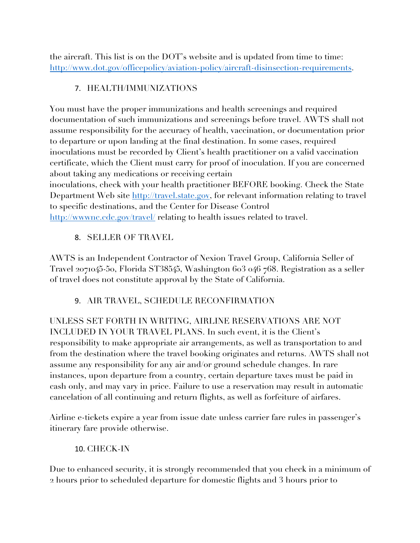the aircraft. This list is on the DOT's website and is updated from time to time: http://www.dot.gov/officepolicy/aviation-policy/aircraft-disinsection-requirements.

## 7. HEALTH/IMMUNIZATIONS

You must have the proper immunizations and health screenings and required documentation of such immunizations and screenings before travel. AWTS shall not assume responsibility for the accuracy of health, vaccination, or documentation prior to departure or upon landing at the final destination. In some cases, required inoculations must be recorded by Client's health practitioner on a valid vaccination certificate, which the Client must carry for proof of inoculation. If you are concerned about taking any medications or receiving certain

inoculations, check with your health practitioner BEFORE booking. Check the State Department Web site http://travel.state.gov, for relevant information relating to travel to specific destinations, and the Center for Disease Control http://wwwnc.cdc.gov/travel/ relating to health issues related to travel.

## 8. SELLER OF TRAVEL

AWTS is an Independent Contractor of Nexion Travel Group, California Seller of Travel 2071045-50, Florida ST38545, Washington 603 046 768. Registration as a seller of travel does not constitute approval by the State of California.

## 9. AIR TRAVEL, SCHEDULE RECONFIRMATION

UNLESS SET FORTH IN WRITING, AIRLINE RESERVATIONS ARE NOT INCLUDED IN YOUR TRAVEL PLANS. In such event, it is the Client's responsibility to make appropriate air arrangements, as well as transportation to and from the destination where the travel booking originates and returns. AWTS shall not assume any responsibility for any air and/or ground schedule changes. In rare instances, upon departure from a country, certain departure taxes must be paid in cash only, and may vary in price. Failure to use a reservation may result in automatic cancelation of all continuing and return flights, as well as forfeiture of airfares.

Airline e-tickets expire a year from issue date unless carrier fare rules in passenger's itinerary fare provide otherwise.

## 10. CHECK-IN

Due to enhanced security, it is strongly recommended that you check in a minimum of 2 hours prior to scheduled departure for domestic flights and 3 hours prior to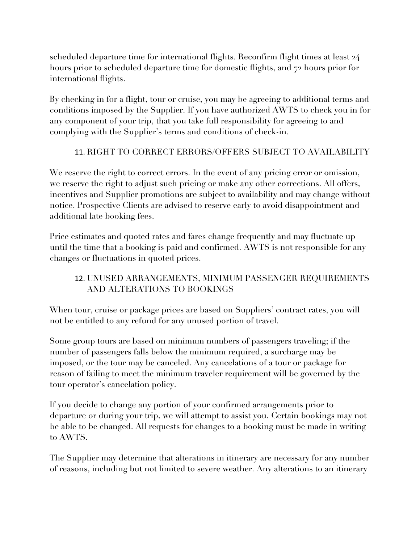scheduled departure time for international flights. Reconfirm flight times at least 24 hours prior to scheduled departure time for domestic flights, and 72 hours prior for international flights.

By checking in for a flight, tour or cruise, you may be agreeing to additional terms and conditions imposed by the Supplier. If you have authorized AWTS to check you in for any component of your trip, that you take full responsibility for agreeing to and complying with the Supplier's terms and conditions of check-in.

## 11. RIGHT TO CORRECT ERRORS/OFFERS SUBJECT TO AVAILABILITY

We reserve the right to correct errors. In the event of any pricing error or omission, we reserve the right to adjust such pricing or make any other corrections. All offers, incentives and Supplier promotions are subject to availability and may change without notice. Prospective Clients are advised to reserve early to avoid disappointment and additional late booking fees.

Price estimates and quoted rates and fares change frequently and may fluctuate up until the time that a booking is paid and confirmed. AWTS is not responsible for any changes or fluctuations in quoted prices.

# 12. UNUSED ARRANGEMENTS, MINIMUM PASSENGER REQUIREMENTS AND ALTERATIONS TO BOOKINGS

When tour, cruise or package prices are based on Suppliers' contract rates, you will not be entitled to any refund for any unused portion of travel.

Some group tours are based on minimum numbers of passengers traveling; if the number of passengers falls below the minimum required, a surcharge may be imposed, or the tour may be canceled. Any cancelations of a tour or package for reason of failing to meet the minimum traveler requirement will be governed by the tour operator's cancelation policy.

If you decide to change any portion of your confirmed arrangements prior to departure or during your trip, we will attempt to assist you. Certain bookings may not be able to be changed. All requests for changes to a booking must be made in writing to AWTS.

The Supplier may determine that alterations in itinerary are necessary for any number of reasons, including but not limited to severe weather. Any alterations to an itinerary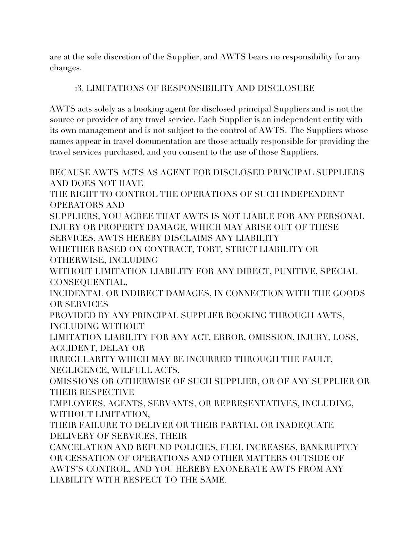are at the sole discretion of the Supplier, and AWTS bears no responsibility for any changes.

### 13. LIMITATIONS OF RESPONSIBILITY AND DISCLOSURE

AWTS acts solely as a booking agent for disclosed principal Suppliers and is not the source or provider of any travel service. Each Supplier is an independent entity with its own management and is not subject to the control of AWTS. The Suppliers whose names appear in travel documentation are those actually responsible for providing the travel services purchased, and you consent to the use of those Suppliers.

BECAUSE AWTS ACTS AS AGENT FOR DISCLOSED PRINCIPAL SUPPLIERS AND DOES NOT HAVE THE RIGHT TO CONTROL THE OPERATIONS OF SUCH INDEPENDENT OPERATORS AND SUPPLIERS, YOU AGREE THAT AWTS IS NOT LIABLE FOR ANY PERSONAL INJURY OR PROPERTY DAMAGE, WHICH MAY ARISE OUT OF THESE SERVICES. AWTS HEREBY DISCLAIMS ANY LIABILITY WHETHER BASED ON CONTRACT, TORT, STRICT LIABILITY OR OTHERWISE, INCLUDING WITHOUT LIMITATION LIABILITY FOR ANY DIRECT, PUNITIVE, SPECIAL CONSEQUENTIAL, INCIDENTAL OR INDIRECT DAMAGES, IN CONNECTION WITH THE GOODS OR SERVICES PROVIDED BY ANY PRINCIPAL SUPPLIER BOOKING THROUGH AWTS, INCLUDING WITHOUT LIMITATION LIABILITY FOR ANY ACT, ERROR, OMISSION, INJURY, LOSS, ACCIDENT, DELAY OR IRREGULARITY WHICH MAY BE INCURRED THROUGH THE FAULT, NEGLIGENCE, WILFULL ACTS, OMISSIONS OR OTHERWISE OF SUCH SUPPLIER, OR OF ANY SUPPLIER OR THEIR RESPECTIVE EMPLOYEES, AGENTS, SERVANTS, OR REPRESENTATIVES, INCLUDING, WITHOUT LIMITATION, THEIR FAILURE TO DELIVER OR THEIR PARTIAL OR INADEQUATE DELIVERY OF SERVICES, THEIR CANCELATION AND REFUND POLICIES, FUEL INCREASES, BANKRUPTCY OR CESSATION OF OPERATIONS AND OTHER MATTERS OUTSIDE OF AWTS'S CONTROL, AND YOU HEREBY EXONERATE AWTS FROM ANY

LIABILITY WITH RESPECT TO THE SAME.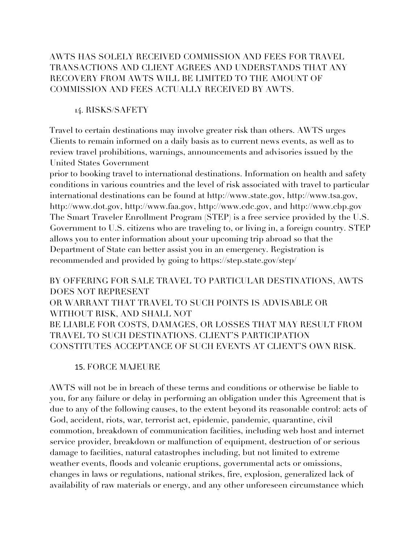## AWTS HAS SOLELY RECEIVED COMMISSION AND FEES FOR TRAVEL TRANSACTIONS AND CLIENT AGREES AND UNDERSTANDS THAT ANY RECOVERY FROM AWTS WILL BE LIMITED TO THE AMOUNT OF COMMISSION AND FEES ACTUALLY RECEIVED BY AWTS.

#### 14. RISKS/SAFETY

Travel to certain destinations may involve greater risk than others. AWTS urges Clients to remain informed on a daily basis as to current news events, as well as to review travel prohibitions, warnings, announcements and advisories issued by the United States Government

prior to booking travel to international destinations. Information on health and safety conditions in various countries and the level of risk associated with travel to particular international destinations can be found at http://www.state.gov, http://www.tsa.gov, http://www.dot.gov, http://www.faa.gov, http://www.cdc.gov, and http://www.cbp.gov The Smart Traveler Enrollment Program (STEP) is a free service provided by the U.S. Government to U.S. citizens who are traveling to, or living in, a foreign country. STEP allows you to enter information about your upcoming trip abroad so that the Department of State can better assist you in an emergency. Registration is recommended and provided by going to https://step.state.gov/step/

BY OFFERING FOR SALE TRAVEL TO PARTICULAR DESTINATIONS, AWTS DOES NOT REPRESENT OR WARRANT THAT TRAVEL TO SUCH POINTS IS ADVISABLE OR WITHOUT RISK, AND SHALL NOT BE LIABLE FOR COSTS, DAMAGES, OR LOSSES THAT MAY RESULT FROM TRAVEL TO SUCH DESTINATIONS. CLIENT'S PARTICIPATION CONSTITUTES ACCEPTANCE OF SUCH EVENTS AT CLIENT'S OWN RISK.

## 15. FORCE MAJEURE

AWTS will not be in breach of these terms and conditions or otherwise be liable to you, for any failure or delay in performing an obligation under this Agreement that is due to any of the following causes, to the extent beyond its reasonable control: acts of God, accident, riots, war, terrorist act, epidemic, pandemic, quarantine, civil commotion, breakdown of communication facilities, including web host and internet service provider, breakdown or malfunction of equipment, destruction of or serious damage to facilities, natural catastrophes including, but not limited to extreme weather events, floods and volcanic eruptions, governmental acts or omissions, changes in laws or regulations, national strikes, fire, explosion, generalized lack of availability of raw materials or energy, and any other unforeseen circumstance which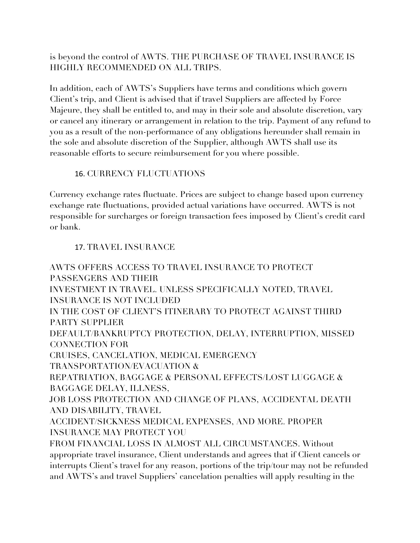is beyond the control of AWTS. THE PURCHASE OF TRAVEL INSURANCE IS HIGHLY RECOMMENDED ON ALL TRIPS.

In addition, each of AWTS's Suppliers have terms and conditions which govern Client's trip, and Client is advised that if travel Suppliers are affected by Force Majeure, they shall be entitled to, and may in their sole and absolute discretion, vary or cancel any itinerary or arrangement in relation to the trip. Payment of any refund to you as a result of the non-performance of any obligations hereunder shall remain in the sole and absolute discretion of the Supplier, although AWTS shall use its reasonable efforts to secure reimbursement for you where possible.

### 16. CURRENCY FLUCTUATIONS

Currency exchange rates fluctuate. Prices are subject to change based upon currency exchange rate fluctuations, provided actual variations have occurred. AWTS is not responsible for surcharges or foreign transaction fees imposed by Client's credit card or bank.

### 17. TRAVEL INSURANCE

AWTS OFFERS ACCESS TO TRAVEL INSURANCE TO PROTECT PASSENGERS AND THEIR INVESTMENT IN TRAVEL. UNLESS SPECIFICALLY NOTED, TRAVEL INSURANCE IS NOT INCLUDED IN THE COST OF CLIENT'S ITINERARY TO PROTECT AGAINST THIRD PARTY SUPPLIER DEFAULT/BANKRUPTCY PROTECTION, DELAY, INTERRUPTION, MISSED CONNECTION FOR CRUISES, CANCELATION, MEDICAL EMERGENCY TRANSPORTATION/EVACUATION & REPATRIATION, BAGGAGE & PERSONAL EFFECTS/LOST LUGGAGE & BAGGAGE DELAY, ILLNESS, JOB LOSS PROTECTION AND CHANGE OF PLANS, ACCIDENTAL DEATH AND DISABILITY, TRAVEL ACCIDENT/SICKNESS MEDICAL EXPENSES, AND MORE. PROPER INSURANCE MAY PROTECT YOU FROM FINANCIAL LOSS IN ALMOST ALL CIRCUMSTANCES. Without appropriate travel insurance, Client understands and agrees that if Client cancels or interrupts Client's travel for any reason, portions of the trip/tour may not be refunded and AWTS's and travel Suppliers' cancelation penalties will apply resulting in the